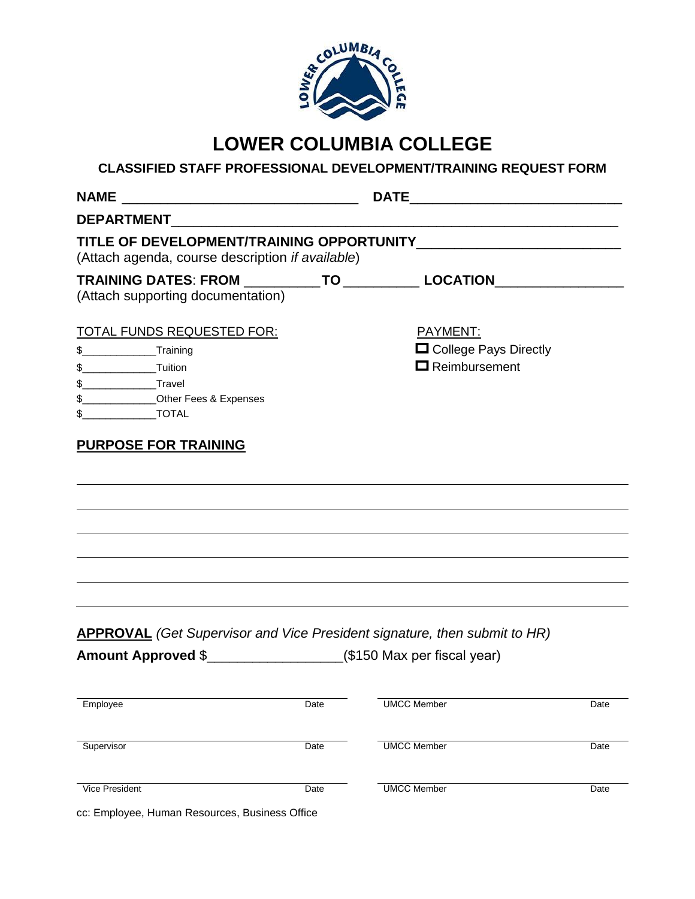

# **LOWER COLUMBIA COLLEGE**

# **CLASSIFIED STAFF PROFESSIONAL DEVELOPMENT/TRAINING REQUEST FORM**

| <b>NAME</b>                                                                                                                |      |                                                                                  |      |
|----------------------------------------------------------------------------------------------------------------------------|------|----------------------------------------------------------------------------------|------|
|                                                                                                                            |      |                                                                                  |      |
| (Attach agenda, course description if available)                                                                           |      |                                                                                  |      |
| TRAINING DATES: FROM ____________TO ____________ LOCATION_______________________<br>(Attach supporting documentation)      |      |                                                                                  |      |
| <b>TOTAL FUNDS REQUESTED FOR:</b><br>\$__________________Training<br>\$_______________Other Fees & Expenses<br>$$$ $TOTAL$ |      | PAYMENT:<br>College Pays Directly<br>$\Box$ Reimbursement                        |      |
| <b>PURPOSE FOR TRAINING</b>                                                                                                |      |                                                                                  |      |
|                                                                                                                            |      |                                                                                  |      |
|                                                                                                                            |      | <b>APPROVAL</b> (Get Supervisor and Vice President signature, then submit to HR) |      |
|                                                                                                                            |      |                                                                                  |      |
| Employee                                                                                                                   | Date | UMCC Member                                                                      | Date |
| Supervisor                                                                                                                 | Date | <b>UMCC Member</b>                                                               | Date |

cc: Employee, Human Resources, Business Office